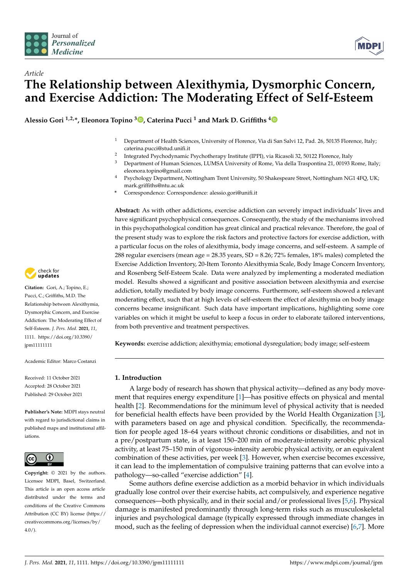



# *Article* **The Relationship between Alexithymia, Dysmorphic Concern, and Exercise Addiction: The Moderating Effect of Self-Esteem**

**Alessio Gori 1,2,\*, Eleonora Topino <sup>3</sup> [,](https://orcid.org/0000-0003-0849-1249) Caterina Pucci <sup>1</sup> and Mark D. Griffiths [4](https://orcid.org/0000-0001-8880-6524)**

- <sup>1</sup> Department of Health Sciences, University of Florence, Via di San Salvi 12, Pad. 26, 50135 Florence, Italy; caterina.pucci@stud.unifi.it
- 2 Integrated Psychodynamic Psychotherapy Institute (IPPI), via Ricasoli 32, 50122 Florence, Italy
- <sup>3</sup> Department of Human Sciences, LUMSA University of Rome, Via della Traspontina 21, 00193 Rome, Italy; eleonora.topino@gmail.com
- <sup>4</sup> Psychology Department, Nottingham Trent University, 50 Shakespeare Street, Nottingham NG1 4FQ, UK; mark.griffiths@ntu.ac.uk
- **\*** Correspondence: Correspondence: alessio.gori@unifi.it

**Abstract:** As with other addictions, exercise addiction can severely impact individuals' lives and have significant psychophysical consequences. Consequently, the study of the mechanisms involved in this psychopathological condition has great clinical and practical relevance. Therefore, the goal of the present study was to explore the risk factors and protective factors for exercise addiction, with a particular focus on the roles of alexithymia, body image concerns, and self-esteem. A sample of 288 regular exercisers (mean age = 28.35 years, SD = 8.26; 72% females, 18% males) completed the Exercise Addiction Inventory, 20-Item Toronto Alexithymia Scale, Body Image Concern Inventory, and Rosenberg Self-Esteem Scale. Data were analyzed by implementing a moderated mediation model. Results showed a significant and positive association between alexithymia and exercise addiction, totally mediated by body image concerns. Furthermore, self-esteem showed a relevant moderating effect, such that at high levels of self-esteem the effect of alexithymia on body image concerns became insignificant. Such data have important implications, highlighting some core variables on which it might be useful to keep a focus in order to elaborate tailored interventions, from both preventive and treatment perspectives.

**Keywords:** exercise addiction; alexithymia; emotional dysregulation; body image; self-esteem

## **1. Introduction**

A large body of research has shown that physical activity—defined as any body movement that requires energy expenditure [\[1\]](#page-9-0)—has positive effects on physical and mental health [\[2\]](#page-9-1). Recommendations for the minimum level of physical activity that is needed for beneficial health effects have been provided by the World Health Organization [\[3\]](#page-9-2), with parameters based on age and physical condition. Specifically, the recommendation for people aged 18–64 years without chronic conditions or disabilities, and not in a pre/postpartum state, is at least 150–200 min of moderate-intensity aerobic physical activity, at least 75–150 min of vigorous-intensity aerobic physical activity, or an equivalent combination of these activities, per week [\[3\]](#page-9-2). However, when exercise becomes excessive, it can lead to the implementation of compulsive training patterns that can evolve into a pathology—so-called "exercise addiction" [\[4\]](#page-9-3).

Some authors define exercise addiction as a morbid behavior in which individuals gradually lose control over their exercise habits, act compulsively, and experience negative consequences—both physically, and in their social and/or professional lives [\[5](#page-9-4)[,6\]](#page-9-5). Physical damage is manifested predominantly through long-term risks such as musculoskeletal injuries and psychological damage (typically expressed through immediate changes in mood, such as the feeling of depression when the individual cannot exercise) [\[6,](#page-9-5)[7\]](#page-9-6). More



**Citation:** Gori, A.; Topino, E.; Pucci, C.; Griffiths, M.D. The Relationship between Alexithymia, Dysmorphic Concern, and Exercise Addiction: The Moderating Effect of Self-Esteem. *J. Pers. Med.* **2021**, *11*, 1111. [https://doi.org/10.3390/](https://doi.org/10.3390/jpm11111111) [jpm11111111](https://doi.org/10.3390/jpm11111111)

Academic Editor: Marco Costanzi

Received: 11 October 2021 Accepted: 28 October 2021 Published: 29 October 2021

**Publisher's Note:** MDPI stays neutral with regard to jurisdictional claims in published maps and institutional affiliations.



**Copyright:** © 2021 by the authors. Licensee MDPI, Basel, Switzerland. This article is an open access article distributed under the terms and conditions of the Creative Commons Attribution (CC BY) license (https:/[/](https://creativecommons.org/licenses/by/4.0/) [creativecommons.org/licenses/by/](https://creativecommons.org/licenses/by/4.0/)  $4.0/$ ).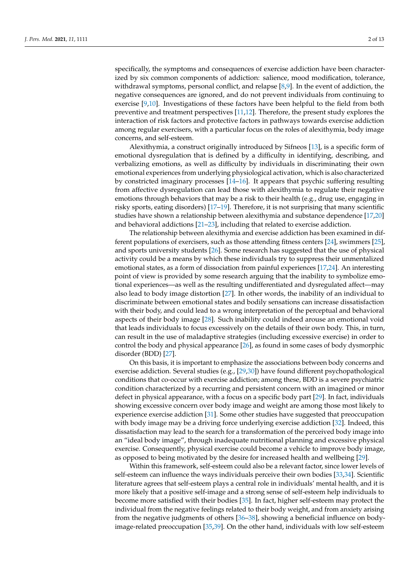specifically, the symptoms and consequences of exercise addiction have been characterized by six common components of addiction: salience, mood modification, tolerance, withdrawal symptoms, personal conflict, and relapse  $[8,9]$  $[8,9]$ . In the event of addiction, the negative consequences are ignored, and do not prevent individuals from continuing to exercise [\[9](#page-10-1)[,10\]](#page-10-2). Investigations of these factors have been helpful to the field from both preventive and treatment perspectives [\[11](#page-10-3)[,12\]](#page-10-4). Therefore, the present study explores the interaction of risk factors and protective factors in pathways towards exercise addiction among regular exercisers, with a particular focus on the roles of alexithymia, body image concerns, and self-esteem.

Alexithymia, a construct originally introduced by Sifneos [\[13\]](#page-10-5), is a specific form of emotional dysregulation that is defined by a difficulty in identifying, describing, and verbalizing emotions, as well as difficulty by individuals in discriminating their own emotional experiences from underlying physiological activation, which is also characterized by constricted imaginary processes [\[14](#page-10-6)[–16\]](#page-10-7). It appears that psychic suffering resulting from affective dysregulation can lead those with alexithymia to regulate their negative emotions through behaviors that may be a risk to their health (e.g., drug use, engaging in risky sports, eating disorders) [\[17–](#page-10-8)[19\]](#page-10-9). Therefore, it is not surprising that many scientific studies have shown a relationship between alexithymia and substance dependence [\[17,](#page-10-8)[20\]](#page-10-10) and behavioral addictions [\[21–](#page-10-11)[23\]](#page-10-12), including that related to exercise addiction.

The relationship between alexithymia and exercise addiction has been examined in different populations of exercisers, such as those attending fitness centers [\[24\]](#page-10-13), swimmers [\[25\]](#page-10-14), and sports university students [\[26\]](#page-10-15). Some research has suggested that the use of physical activity could be a means by which these individuals try to suppress their unmentalized emotional states, as a form of dissociation from painful experiences [\[17,](#page-10-8)[24\]](#page-10-13). An interesting point of view is provided by some research arguing that the inability to symbolize emotional experiences—as well as the resulting undifferentiated and dysregulated affect—may also lead to body image distortion [\[27\]](#page-10-16). In other words, the inability of an individual to discriminate between emotional states and bodily sensations can increase dissatisfaction with their body, and could lead to a wrong interpretation of the perceptual and behavioral aspects of their body image [\[28\]](#page-10-17). Such inability could indeed arouse an emotional void that leads individuals to focus excessively on the details of their own body. This, in turn, can result in the use of maladaptive strategies (including excessive exercise) in order to control the body and physical appearance [\[26\]](#page-10-15), as found in some cases of body dysmorphic disorder (BDD) [\[27\]](#page-10-16).

On this basis, it is important to emphasize the associations between body concerns and exercise addiction. Several studies (e.g., [\[29,](#page-10-18)[30\]](#page-10-19)) have found different psychopathological conditions that co-occur with exercise addiction; among these, BDD is a severe psychiatric condition characterized by a recurring and persistent concern with an imagined or minor defect in physical appearance, with a focus on a specific body part [\[29\]](#page-10-18). In fact, individuals showing excessive concern over body image and weight are among those most likely to experience exercise addiction [\[31\]](#page-10-20). Some other studies have suggested that preoccupation with body image may be a driving force underlying exercise addiction [\[32\]](#page-10-21). Indeed, this dissatisfaction may lead to the search for a transformation of the perceived body image into an "ideal body image", through inadequate nutritional planning and excessive physical exercise. Consequently, physical exercise could become a vehicle to improve body image, as opposed to being motivated by the desire for increased health and wellbeing [\[29\]](#page-10-18).

Within this framework, self-esteem could also be a relevant factor, since lower levels of self-esteem can influence the ways individuals perceive their own bodies [\[33](#page-10-22)[,34\]](#page-10-23). Scientific literature agrees that self-esteem plays a central role in individuals' mental health, and it is more likely that a positive self-image and a strong sense of self-esteem help individuals to become more satisfied with their bodies [\[35\]](#page-10-24). In fact, higher self-esteem may protect the individual from the negative feelings related to their body weight, and from anxiety arising from the negative judgments of others [\[36–](#page-10-25)[38\]](#page-11-0), showing a beneficial influence on bodyimage-related preoccupation [\[35,](#page-10-24)[39\]](#page-11-1). On the other hand, individuals with low self-esteem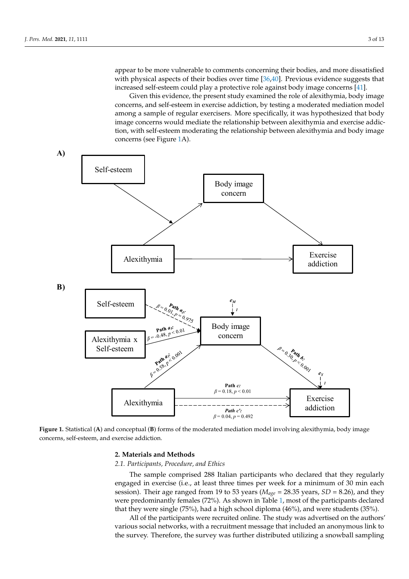appear to be more vulnerable to comments concerning their bodies, and more dissatisfied with physical aspects of their bodies over time [\[36](#page-10-25)[,40\]](#page-11-2). Previous evidence suggests that increased self-esteem could play a protective role against body image concerns [\[41\]](#page-11-3). more dissatisfied with physical aspects of their bodies over time [36,40]. Previous evidence suggests that increase the continuents concerning them bodies, and more dissaushed

ence on body-image-relation  $\mathcal{S}$  ,  $\mathcal{S}$  ,  $\mathcal{S}$  , individuals with other hand, individuals with  $\mathcal{S}$ 

Given this evidence, the present study examined the role of alexithymia, body image Given this evidence, the present study examined the role of alexithymia, body image concerns, and self-esteem in exercise addiction, by testing a moderated mediation model concerns, and self-esteem in exercise addiction, by testing a moderated mediation model among a sample of regular exercisers. More specifically, it was hypothesized that body among a sample of regular exercisers. More specifically, it was hypothesized that body image concerns would mediate the relationship between alexithymia and exercise addic-image concerns would mediate the relationship between alexithymia and exercise addiction, with self-esteem moderating the relationship between alexithymia and body image tion, with self-esteem moderating the relationship between alexithymia and body image concerns (see Figure [1A](#page-2-0)). concerns (see Figure 1A).

<span id="page-2-0"></span>

**Figure 1.** Statistical (A) and conceptual (B) forms of the moderated mediation model involving alexithymia, body image  $\frac{1}{2}$ concerns, self-esteem, and exercise addiction. concerns, self-esteem, and exercise addiction.

## **2. Materials and Methods 2. Materials and Methods**

#### *2.1. Participants, Procedure, and Ethics*

*2.1. Participants, Procedure, and Ethics*  engaged in exercise (i.e., at least three times per week for a minimum of 30 min each session). Their age ranged from 19 to 53 years ( $M_{age}$  = 28.35 years, *SD* = 8.26), and they The sample comprised 288 Italian participants who declared that they regularly were predominantly females (72%). As shown in Table [1,](#page-3-0) most of the participants declared that they were single (75%), had a high school diploma (46%), and were students (35%).

All of the participants were recruited online. The study was advertised on the authors' various social networks, with a recruitment message that included an anonymous link to the survey. Therefore, the survey was further distributed utilizing a snowball sampling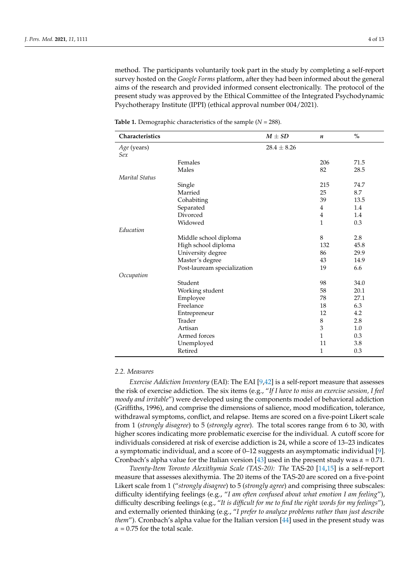method. The participants voluntarily took part in the study by completing a self-report survey hosted on the *Google Forms* platform, after they had been informed about the general aims of the research and provided informed consent electronically. The protocol of the present study was approved by the Ethical Committee of the Integrated Psychodynamic Psychotherapy Institute (IPPI) (ethical approval number 004/2021).

| Characteristics    |                             | $M \pm SD$      | n              | $\frac{0}{0}$ |
|--------------------|-----------------------------|-----------------|----------------|---------------|
| Age (years)<br>Sex |                             | $28.4 \pm 8.26$ |                |               |
|                    | Females                     |                 | 206            | 71.5          |
|                    | Males                       |                 | 82             | 28.5          |
| Marital Status     |                             |                 |                |               |
|                    | Single                      |                 | 215            | 74.7          |
|                    | Married                     |                 | 25             | 8.7           |
|                    | Cohabiting                  |                 | 39             | 13.5          |
|                    | Separated                   |                 | $\overline{4}$ | 1.4           |
|                    | Divorced                    |                 | $\overline{4}$ | 1.4           |
|                    | Widowed                     |                 | $\mathbf{1}$   | 0.3           |
| Education          |                             |                 |                |               |
|                    | Middle school diploma       |                 | 8              | 2.8           |
|                    | High school diploma         |                 | 132            | 45.8          |
|                    | University degree           |                 | 86             | 29.9          |
|                    | Master's degree             |                 | 43             | 14.9          |
|                    | Post-lauream specialization |                 | 19             | 6.6           |
| Occupation         |                             |                 |                |               |
|                    | Student                     |                 | 98             | 34.0          |
|                    | Working student             |                 | 58             | 20.1          |
|                    | Employee                    |                 | 78             | 27.1          |
|                    | Freelance                   |                 | 18             | 6.3           |
|                    | Entrepreneur                |                 | 12             | 4.2           |
|                    | Trader                      |                 | 8              | 2.8           |
|                    | Artisan                     |                 | 3              | 1.0           |
|                    | Armed forces                |                 | 1              | 0.3           |
|                    | Unemployed                  |                 | 11             | 3.8           |
|                    | Retired                     |                 | 1              | 0.3           |

<span id="page-3-0"></span>**Table 1.** Demographic characteristics of the sample (*N =* 288).

## *2.2. Measures*

*Exercise Addiction Inventory* (EAI): The EAI [\[9,](#page-10-1)[42\]](#page-11-4) is a self-report measure that assesses the risk of exercise addiction. The six items (e.g., "*If I have to miss an exercise session, I feel moody and irritable*") were developed using the components model of behavioral addiction (Griffiths, 1996), and comprise the dimensions of salience, mood modification, tolerance, withdrawal symptoms, conflict, and relapse. Items are scored on a five-point Likert scale from 1 (*strongly disagree*) to 5 (*strongly agree*). The total scores range from 6 to 30, with higher scores indicating more problematic exercise for the individual. A cutoff score for individuals considered at risk of exercise addiction is 24, while a score of 13–23 indicates a symptomatic individual, and a score of 0–12 suggests an asymptomatic individual [\[9\]](#page-10-1). Cronbach's alpha value for the Italian version [\[43\]](#page-11-5) used in the present study was  $\alpha = 0.71$ .

*Twenty-Item Toronto Alexithymia Scale (TAS-20): The* TAS-20 [\[14,](#page-10-6)[15\]](#page-10-26) is a self-report measure that assesses alexithymia. The 20 items of the TAS-20 are scored on a five-point Likert scale from 1 ("*strongly disagree*) to 5 (*strongly agree*) and comprising three subscales: difficulty identifying feelings (e.g., "*I am often confused about what emotion I am feeling*"), difficulty describing feelings (e.g., "*It is difficult for me to find the right words for my feelings*"), and externally oriented thinking (e.g., "*I prefer to analyze problems rather than just describe them*"). Cronbach's alpha value for the Italian version [\[44\]](#page-11-6) used in the present study was  $\alpha$  = 0.75 for the total scale.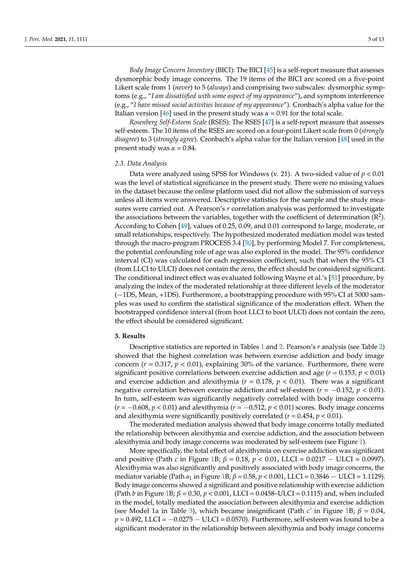*Body Image Concern Inventory* (BICI): The BICI [\[45\]](#page-11-7) is a self-report measure that assesses dysmorphic body image concerns. The 19 items of the BICI are scored on a five-point Likert scale from 1 (*never*) to 5 (*always*) and comprising two subscales: dysmorphic symptoms (e.g., "*I am dissatisfied with some aspect of my appearance*"), and symptom interference (e.g., "*I have missed social activities because of my appearance*"). Cronbach's alpha value for the Italian version [\[46\]](#page-11-8) used in the present study was  $\alpha = 0.91$  for the total scale.

*Rosenberg Self-Esteem Scale* (RSES): The RSES [\[47\]](#page-11-9) is a self-report measure that assesses self-esteem. The 10 items of the RSES are scored on a four-point Likert scale from 0 (*strongly disagree*) to 3 (*strongly agree*). Cronbach's alpha value for the Italian version [\[48\]](#page-11-10) used in the present study was  $\alpha = 0.84$ .

#### *2.3. Data Analysis*

Data were analyzed using SPSS for Windows (v. 21). A two-sided value of *p* < 0.01 was the level of statistical significance in the present study. There were no missing values in the dataset because the online platform used did not allow the submission of surveys unless all items were answered. Descriptive statistics for the sample and the study measures were carried out. A Pearson's *r* correlation analysis was performed to investigate the associations between the variables, together with the coefficient of determination  $(R^2)$ . According to Cohen [\[49\]](#page-11-11), values of 0.25, 0.09, and 0.01 correspond to large, moderate, or small relationships, respectively. The hypothesized moderated mediation model was tested through the macro-program PROCESS 3.4 [\[50\]](#page-11-12), by performing Model 7. For completeness, the potential confounding role of age was also explored in the model. The 95% confidence interval (CI) was calculated for each regression coefficient, such that when the 95% CI (from LLCI to ULCI) does not contain the zero, the effect should be considered significant. The conditional indirect effect was evaluated following Wayne et al.'s [\[51\]](#page-11-13) procedure, by analyzing the index of the moderated relationship at three different levels of the moderator (−1DS, Mean, +1DS). Furthermore, a bootstrapping procedure with 95% CI at 5000 samples was used to confirm the statistical significance of the moderation effect. When the bootstrapped confidence interval (from boot LLCI to boot ULCI) does not contain the zero, the effect should be considered significant.

#### **3. Results**

Descriptive statistics are reported in Tables [1](#page-3-0) and [2.](#page-5-0) Pearson's *r* analysis (see Table [2\)](#page-5-0) showed that the highest correlation was between exercise addiction and body image concern ( $r = 0.317$ ,  $p < 0.01$ ), explaining 30% of the variance. Furthermore, there were significant positive correlations between exercise addiction and age (*r =* 0.153, *p* < 0.01) and exercise addiction and alexithymia (*r* = 0.178, *p <* 0.01). There was a significant negative correlation between exercise addiction and self-esteem (*r* = −0.152, *p <* 0.01). In turn, self-esteem was significantly negatively correlated with body image concerns (*r* = −0.608, *p <* 0.01) and alexithymia (*r* = −0.512, *p <* 0.01) scores. Body image concerns and alexithymia were significantly positively correlated (*r* = 0.454, *p <* 0.01).

The moderated mediation analysis showed that body image concerns totally mediated the relationship between alexithymia and exercise addiction, and the association between alexithymia and body image concerns was moderated by self-esteem (see Figure [1\)](#page-2-0).

More specifically, the total effect of alexithymia on exercise addiction was significant and positive (Path *c* in Figure [1B](#page-2-0); *β* = 0.18, *p <* 0.01, LLCI = 0.0217 − ULCI = 0.0997). Alexithymia was also significantly and positively associated with body image concerns, the mediator variable (Path *a*<sup>1</sup> in Figure [1B](#page-2-0); *β* = 0.58, *p <* 0.001, LLCI = 0.3846 − ULCI = 1.1129). Body image concerns showed a significant and positive relationship with exercise addiction (Path *b* in Figure [1B](#page-2-0); *β* = 0.30, *p <* 0.001, LLCI = 0.0458–ULCI = 0.1115) and, when included in the model, totally mediated the association between alexithymia and exercise addiction (see Model 1a in Table [3\)](#page-7-0), which became insignificant (Path *c'* in Figure [1B](#page-2-0); *β* = 0.04,  $p = 0.492$ , LLCI =  $-0.0275 - ULCI = 0.0570$ . Furthermore, self-esteem was found to be a significant moderator in the relationship between alexithymia and body image concerns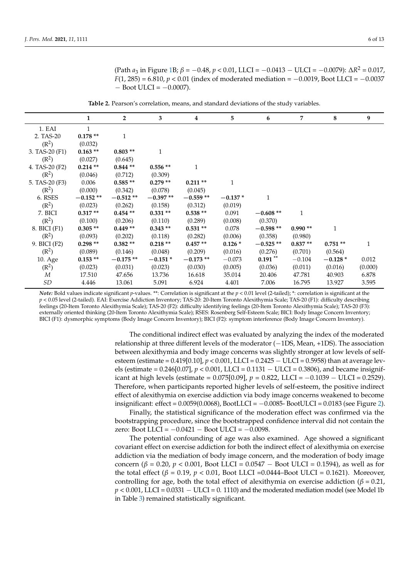(Path *a*<sup>3</sup> in Figure [1B](#page-2-0); *β* = −0.48, *p <* 0.01, LLCI = −0.0413 − ULCI = −0.0079): ∆*R* <sup>2</sup> = 0.017, *F*(1, 285) = 6.810, *p* < 0.01 (index of moderated mediation = −0.0019, Boot LLCI = −0.0037  $-$  Boot ULCI =  $-0.0007$ ).

**Table 2.** Pearson's correlation, means, and standard deviations of the study variables.

<span id="page-5-0"></span>

|                   | 1          | $\overline{2}$ | 3          | 4            | 5            | 6          | 7         | 8            | 9       |
|-------------------|------------|----------------|------------|--------------|--------------|------------|-----------|--------------|---------|
| 1. EAI            | 1          |                |            |              |              |            |           |              |         |
| 2. TAS-20         | $0.178**$  | $\mathbf{1}$   |            |              |              |            |           |              |         |
| (R <sup>2</sup> ) | (0.032)    |                |            |              |              |            |           |              |         |
| 3. TAS-20 $(F1)$  | $0.163**$  | $0.803**$      | 1          |              |              |            |           |              |         |
| $(R^2)$           | (0.027)    | (0.645)        |            |              |              |            |           |              |         |
| 4. TAS-20 (F2)    | $0.214**$  | $0.844**$      | $0.556**$  | $\mathbf{1}$ |              |            |           |              |         |
| $(R^2)$           | (0.046)    | (0.712)        | (0.309)    |              |              |            |           |              |         |
| 5. TAS-20 (F3)    | 0.006      | $0.585**$      | $0.279**$  | $0.211**$    | $\mathbf{1}$ |            |           |              |         |
| (R <sup>2</sup> ) | (0.000)    | (0.342)        | (0.078)    | (0.045)      |              |            |           |              |         |
| 6. RSES           | $-0.152**$ | $-0.512**$     | $-0.397**$ | $-0.559**$   | $-0.137*$    | 1          |           |              |         |
| (R <sup>2</sup> ) | (0.023)    | (0.262)        | (0.158)    | (0.312)      | (0.019)      |            |           |              |         |
| 7. BICI           | $0.317**$  | $0.454**$      | $0.331**$  | $0.538**$    | 0.091        | $-0.608**$ | 1         |              |         |
| (R <sup>2</sup> ) | (0.100)    | (0.206)        | (0.110)    | (0.289)      | (0.008)      | (0.370)    |           |              |         |
| 8. BICI (F1)      | $0.305**$  | $0.449**$      | $0.343**$  | $0.531**$    | 0.078        | $-0.598**$ | $0.990**$ | $\mathbf{1}$ |         |
| (R <sup>2</sup> ) | (0.093)    | (0.202)        | (0.118)    | (0.282)      | (0.006)      | (0.358)    | (0.980)   |              |         |
| 9. BICI (F2)      | $0.298**$  | $0.382**$      | $0.218**$  | $0.457**$    | $0.126*$     | $-0.525**$ | $0.837**$ | $0.751**$    | 1       |
| $(R^2)$           | (0.089)    | (0.146)        | (0.048)    | (0.209)      | (0.016)      | (0.276)    | (0.701)   | (0.564)      |         |
| 10. Age           | $0.153**$  | $-0.175**$     | $-0.151*$  | $-0.173**$   | $-0.073$     | $0.191$ ** | $-0.104$  | $-0.128*$    | 0.012   |
| (R <sup>2</sup> ) | (0.023)    | (0.031)        | (0.023)    | (0.030)      | (0.005)      | (0.036)    | (0.011)   | (0.016)      | (0.000) |
| M                 | 17.510     | 47.656         | 13.736     | 16.618       | 35.014       | 20.406     | 47.781    | 40.903       | 6.878   |
| SD                | 4.446      | 13.061         | 5.091      | 6.924        | 4.401        | 7.006      | 16.795    | 13.927       | 3.595   |

*Note:* Bold values indicate significant *p*-values. \*\*: Correlation is significant at the *p <* 0.01 level (2-tailed); \*: correlation is significant at the *p* < 0.05 level (2-tailed). EAI: Exercise Addiction Inventory; TAS-20: 20-Item Toronto Alexithymia Scale; TAS-20 (F1): difficulty describing feelings (20-Item Toronto Alexithymia Scale); TAS-20 (F2): difficulty identifying feelings (20-Item Toronto Alexithymia Scale); TAS-20 (F3): externally oriented thinking (20-Item Toronto Alexithymia Scale); RSES: Rosenberg Self-Esteem Scale; BICI: Body Image Concern Inventory; BICI (F1): dysmorphic symptoms (Body Image Concern Inventory); BICI (F2): symptom interference (Body Image Concern Inventory).

> The conditional indirect effect was evaluated by analyzing the index of the moderated relationship at three different levels of the moderator (−1DS, Mean, +1DS). The association between alexithymia and body image concerns was slightly stronger at low levels of selfesteem (estimate = 0.419[0.10], *p <* 0.001, LLCI = 0.2425 − ULCI = 0.5958) than at average levels (estimate = 0.246[0.07], *p <* 0.001, LLCI = 0.1131 − ULCI = 0.3806), and became insignificant at high levels (estimate =  $0.075[0.09]$ ,  $p = 0.822$ , LLCI =  $-0.1039$  − ULCI = 0.2529). Therefore, when participants reported higher levels of self-esteem, the positive indirect effect of alexithymia on exercise addiction via body image concerns weakened to become insignificant: effect =  $0.0059(0.0068)$ , BootLLCI =  $-0.0085$ - BootULCI =  $0.0183$  (see Figure [2\)](#page-6-0).

> Finally, the statistical significance of the moderation effect was confirmed via the bootstrapping procedure, since the bootstrapped confidence interval did not contain the zero: Boot LLCI =  $-0.0421 -$  Boot ULCI =  $-0.0098$ .

> The potential confounding of age was also examined. Age showed a significant covariant effect on exercise addiction for both the indirect effect of alexithymia on exercise addiction via the mediation of body image concern, and the moderation of body image concern (*β* = 0.20, *p* < 0.001, Boot LLCI = 0.0547 – Boot ULCI = 0.1594), as well as for the total effect ( $β = 0.19$ ,  $p < 0.01$ , Boot LLCI = 0.0444–Boot ULCI = 0.1621). Moreover, controlling for age, both the total effect of alexithymia on exercise addiction ( $\beta$  = 0.21, *p* < 0.001, LLCI = 0.0331 − ULCI = 0. 1110) and the moderated mediation model (see Model 1b in Table [3\)](#page-7-0) remained statistically significant.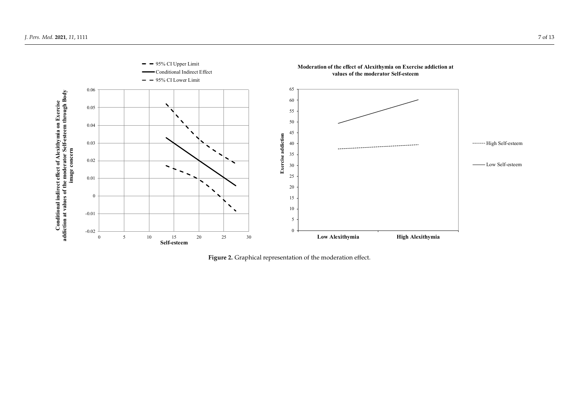<span id="page-6-0"></span>

**Figure 2.** Graphical representation of the moderation effect. **Figure 2.** Graphical representation of the moderation effect.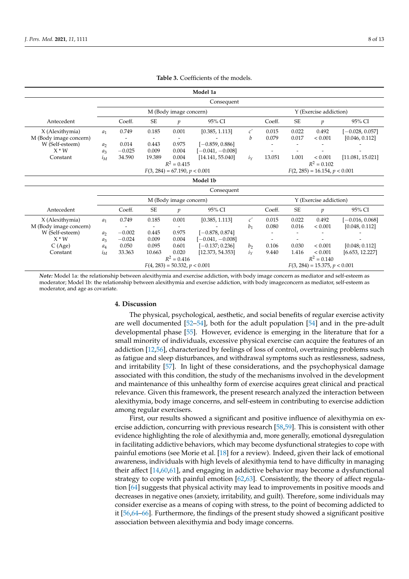<span id="page-7-0"></span>

| Model 1a               |                                 |                                 |           |               |                                 |                |                                 |           |                |                   |
|------------------------|---------------------------------|---------------------------------|-----------|---------------|---------------------------------|----------------|---------------------------------|-----------|----------------|-------------------|
|                        | Consequent                      |                                 |           |               |                                 |                |                                 |           |                |                   |
|                        | M (Body image concern)          |                                 |           |               | Y (Exercise addiction)          |                |                                 |           |                |                   |
| Antecedent             |                                 | Coeff.                          | SE        | $\mathfrak p$ | 95% CI                          |                | Coeff.                          | SE        | $\mathfrak{p}$ | 95% CI            |
| X (Alexithymia)        | $a_1$                           | 0.749                           | 0.185     | 0.001         | [0.385, 1.113]                  | c'             | 0.015                           | 0.022     | 0.492          | $[-0.028, 0.057]$ |
| M (Body image concern) |                                 |                                 |           |               |                                 | h              | 0.079                           | 0.017     | < 0.001        | [0.046, 0.112]    |
| W (Self-esteem)        | $a_2$                           | 0.014                           | 0.443     | 0.975         | $[-0.859, 0.886]$               |                |                                 |           |                |                   |
| $X^*W$                 | $a_3$                           | $-0.025$                        | 0.009     | 0.004         | $[-0.041, -0.008]$              |                |                                 |           |                |                   |
| Constant               | $i_M$                           | 34.590                          | 19.389    | 0.004         | [14.141, 55.040]                | $i_Y$          | 13.051                          | 1.001     | < 0.001        | [11.081, 15.021]  |
|                        | $R^2 = 0.102$<br>$R^2 = 0.415$  |                                 |           |               |                                 |                |                                 |           |                |                   |
|                        |                                 | $F(3, 284) = 67.190, p < 0.001$ |           |               |                                 |                | $F(2, 285) = 16.154, p < 0.001$ |           |                |                   |
| Model 1b               |                                 |                                 |           |               |                                 |                |                                 |           |                |                   |
| Consequent             |                                 |                                 |           |               |                                 |                |                                 |           |                |                   |
|                        | M (Body image concern)          |                                 |           |               | Y (Exercise addiction)          |                |                                 |           |                |                   |
| Antecedent             |                                 | Coeff.                          | <b>SE</b> | $\mathfrak p$ | 95% CI                          |                | Coeff.                          | <b>SE</b> | $\mathcal{V}$  | 95% CI            |
| X (Alexithymia)        | $a_1$                           | 0.749                           | 0.185     | 0.001         | [0.385, 1.113]                  | c'             | 0.015                           | 0.022     | 0.492          | $[-0.016, 0.068]$ |
| M (Body image concern) |                                 |                                 |           |               |                                 | b <sub>1</sub> | 0.080                           | 0.016     | < 0.001        | [0.048, 0.112]    |
| W (Self-esteem)        | $a_2$                           | $-0.002$                        | 0.445     | 0.975         | $[-0.878, 0.874]$               |                |                                 |           |                |                   |
| $X * W$                | $a_3$                           | $-0.024$                        | 0.009     | 0.004         | $[-0.041, -0.008]$              |                |                                 |           |                |                   |
| C(Age)                 | $a_4$                           | 0.050                           | 0.095     | 0.601         | $[-0.137; 0.236]$               | b <sub>2</sub> | 0.106                           | 0.030     | < 0.001        | [0.048; 0.112]    |
| Constant               | $i_M$                           | 33.363                          | 10.663    | 0.020         | [12.373, 54.353]                | $i_Y$          | 9.440                           | 1.416     | < 0.001        | [6.653, 12.227]   |
|                        |                                 |                                 |           | $R^2 = 0.416$ |                                 |                |                                 |           | $R^2 = 0.140$  |                   |
|                        | $F(4, 283) = 50.332, p < 0.001$ |                                 |           |               | $F(3, 284) = 15.375, p < 0.001$ |                |                                 |           |                |                   |

**Table 3.** Coefficients of the models.

*Note:* Model 1a: the relationship between alexithymia and exercise addiction, with body image concern as mediator and self-esteem as moderator; Model 1b: the relationship between alexithymia and exercise addiction, with body imageconcern as mediator, self-esteem as moderator, and age as covariate.

## **4. Discussion**

The physical, psychological, aesthetic, and social benefits of regular exercise activity are well documented [\[52](#page-11-14)[–54\]](#page-11-15), both for the adult population [\[54\]](#page-11-15) and in the pre-adult developmental phase [\[55\]](#page-11-16). However, evidence is emerging in the literature that for a small minority of individuals, excessive physical exercise can acquire the features of an addiction [\[12,](#page-10-4)[56\]](#page-11-17), characterized by feelings of loss of control, overtraining problems such as fatigue and sleep disturbances, and withdrawal symptoms such as restlessness, sadness, and irritability [\[57\]](#page-11-18). In light of these considerations, and the psychophysical damage associated with this condition, the study of the mechanisms involved in the development and maintenance of this unhealthy form of exercise acquires great clinical and practical relevance. Given this framework, the present research analyzed the interaction between alexithymia, body image concerns, and self-esteem in contributing to exercise addiction among regular exercisers.

First, our results showed a significant and positive influence of alexithymia on exercise addiction, concurring with previous research [\[58](#page-11-19)[,59\]](#page-11-20). This is consistent with other evidence highlighting the role of alexithymia and, more generally, emotional dysregulation in facilitating addictive behaviors, which may become dysfunctional strategies to cope with painful emotions (see Morie et al. [\[18\]](#page-10-27) for a review). Indeed, given their lack of emotional awareness, individuals with high levels of alexithymia tend to have difficulty in managing their affect [\[14](#page-10-6)[,60](#page-11-21)[,61\]](#page-11-22), and engaging in addictive behavior may become a dysfunctional strategy to cope with painful emotion [\[62,](#page-11-23)[63\]](#page-11-24). Consistently, the theory of affect regulation [\[64\]](#page-11-25) suggests that physical activity may lead to improvements in positive moods and decreases in negative ones (anxiety, irritability, and guilt). Therefore, some individuals may consider exercise as a means of coping with stress, to the point of becoming addicted to it [\[56,](#page-11-17)[64–](#page-11-25)[66\]](#page-11-26). Furthermore, the findings of the present study showed a significant positive association between alexithymia and body image concerns.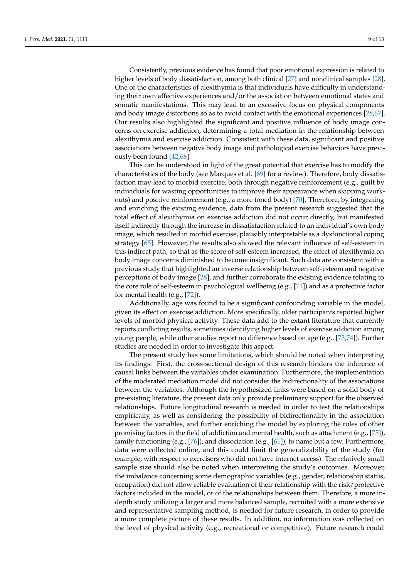Consistently, previous evidence has found that poor emotional expression is related to higher levels of body dissatisfaction, among both clinical [\[27\]](#page-10-16) and nonclinical samples [\[28\]](#page-10-17). One of the characteristics of alexithymia is that individuals have difficulty in understanding their own affective experiences and/or the association between emotional states and somatic manifestations. This may lead to an excessive focus on physical components and body image distortions so as to avoid contact with the emotional experiences [\[28,](#page-10-17)[67\]](#page-11-27). Our results also highlighted the significant and positive influence of body image concerns on exercise addiction, determining a total mediation in the relationship between alexithymia and exercise addiction. Consistent with these data, significant and positive associations between negative body image and pathological exercise behaviors have previously been found [\[42,](#page-11-4)[68\]](#page-11-28).

This can be understood in light of the great potential that exercise has to modify the characteristics of the body (see Marques et al. [\[69\]](#page-11-29) for a review). Therefore, body dissatisfaction may lead to morbid exercise, both through negative reinforcement (e.g., guilt by individuals for wasting opportunities to improve their appearance when skipping workouts) and positive reinforcement (e.g., a more toned body) [\[70\]](#page-11-30). Therefore, by integrating and enriching the existing evidence, data from the present research suggested that the total effect of alexithymia on exercise addiction did not occur directly, but manifested itself indirectly through the increase in dissatisfaction related to an individual's own body image, which resulted in morbid exercise, plausibly interpretable as a dysfunctional coping strategy [\[65\]](#page-11-31). However, the results also showed the relevant influence of self-esteem in this indirect path, so that as the score of self-esteem increased, the effect of alexithymia on body image concerns diminished to become insignificant. Such data are consistent with a previous study that highlighted an inverse relationship between self-esteem and negative perceptions of body image [\[28\]](#page-10-17), and further corroborate the existing evidence relating to the core role of self-esteem in psychological wellbeing (e.g., [\[71\]](#page-12-0)) and as a protective factor for mental health (e.g., [\[72\]](#page-12-1)).

Additionally, age was found to be a significant confounding variable in the model, given its effect on exercise addiction. More specifically, older participants reported higher levels of morbid physical activity. These data add to the extant literature that currently reports conflicting results, sometimes identifying higher levels of exercise addiction among young people, while other studies report no difference based on age (e.g., [\[73,](#page-12-2)[74\]](#page-12-3)). Further studies are needed in order to investigate this aspect.

The present study has some limitations, which should be noted when interpreting its findings. First, the cross-sectional design of this research hinders the inference of causal links between the variables under examination. Furthermore, the implementation of the moderated mediation model did not consider the bidirectionality of the associations between the variables. Although the hypothesized links were based on a solid body of pre-existing literature, the present data only provide preliminary support for the observed relationships. Future longitudinal research is needed in order to test the relationships empirically, as well as considering the possibility of bidirectionality in the association between the variables, and further enriching the model by exploring the roles of other promising factors in the field of addiction and mental health, such as attachment (e.g., [\[75\]](#page-12-4)), family functioning (e.g., [\[76\]](#page-12-5)), and dissociation (e.g., [\[61\]](#page-11-22)), to name but a few. Furthermore, data were collected online, and this could limit the generalizability of the study (for example, with respect to exercisers who did not have internet access). The relatively small sample size should also be noted when interpreting the study's outcomes. Moreover, the imbalance concerning some demographic variables (e.g., gender, relationship status, occupation) did not allow reliable evaluation of their relationship with the risk/protective factors included in the model, or of the relationships between them. Therefore, a more indepth study utilizing a larger and more balanced sample, recruited with a more extensive and representative sampling method, is needed for future research, in order to provide a more complete picture of these results. In addition, no information was collected on the level of physical activity (e.g., recreational or competitive). Future research could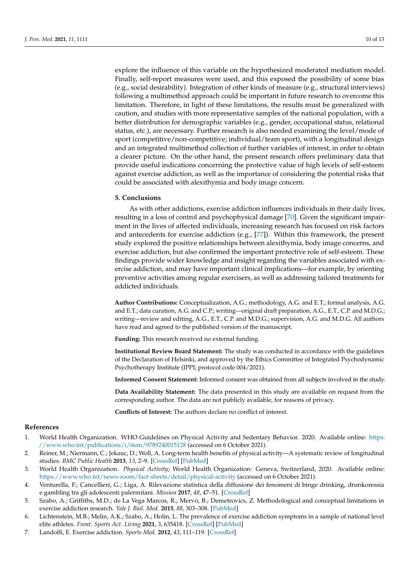explore the influence of this variable on the hypothesized moderated mediation model. Finally, self-report measures were used, and this exposed the possibility of some bias (e.g., social desirability). Integration of other kinds of measure (e.g., structural interviews) following a multimethod approach could be important in future research to overcome this limitation. Therefore, in light of these limitations, the results must be generalized with caution, and studies with more representative samples of the national population, with a better distribution for demographic variables (e.g., gender, occupational status, relational status, etc.), are necessary. Further research is also needed examining the level/mode of sport (competitive/non-competitive; individual/team sport), with a longitudinal design and an integrated multimethod collection of further variables of interest, in order to obtain a clearer picture. On the other hand, the present research offers preliminary data that provide useful indications concerning the protective value of high levels of self-esteem against exercise addiction, as well as the importance of considering the potential risks that could be associated with alexithymia and body image concern.

#### **5. Conclusions**

As with other addictions, exercise addiction influences individuals in their daily lives, resulting in a loss of control and psychophysical damage [\[70\]](#page-11-30). Given the significant impairment in the lives of affected individuals, increasing research has focused on risk factors and antecedents for exercise addiction (e.g., [\[77\]](#page-12-6)). Within this framework, the present study explored the positive relationships between alexithymia, body image concerns, and exercise addiction, but also confirmed the important protective role of self-esteem. These findings provide wider knowledge and insight regarding the variables associated with exercise addiction, and may have important clinical implications—for example, by orienting preventive activities among regular exercisers, as well as addressing tailored treatments for addicted individuals.

**Author Contributions:** Conceptualization, A.G.; methodology, A.G. and E.T.; formal analysis, A.G. and E.T.; data curation, A.G. and C.P.; writing—original draft preparation, A.G., E.T., C.P. and M.D.G.; writing—review and editing, A.G., E.T., C.P. and M.D.G.; supervision, A.G. and M.D.G. All authors have read and agreed to the published version of the manuscript.

**Funding:** This research received no external funding.

**Institutional Review Board Statement:** The study was conducted in accordance with the guidelines of the Declaration of Helsinki, and approved by the Ethics Committee of Integrated Psychodynamic Psychotherapy Institute (IPPI; protocol code 004/2021).

**Informed Consent Statement:** Informed consent was obtained from all subjects involved in the study.

**Data Availability Statement:** The data presented in this study are available on request from the corresponding author. The data are not publicly available, for reasons of privacy.

**Conflicts of Interest:** The authors declare no conflict of interest.

### **References**

- <span id="page-9-0"></span>1. World Health Organization. WHO Guidelines on Physical Activity and Sedentary Behavior. 2020. Available online: [https:](https://www.who.int/publications/i/item/9789240015128) [//www.who.int/publications/i/item/9789240015128](https://www.who.int/publications/i/item/9789240015128) (accessed on 6 October 2021).
- <span id="page-9-1"></span>2. Reiner, M.; Niermann, C.; Jekauc, D.; Woll, A. Long-term health benefits of physical activity—A systematic review of longitudinal studies. *BMC Public Health* **2013**, *13*, 2–9. [\[CrossRef\]](http://doi.org/10.1186/1471-2458-13-813) [\[PubMed\]](http://www.ncbi.nlm.nih.gov/pubmed/24010994)
- <span id="page-9-2"></span>3. World Health Organization. *Physical Activity*; World Health Organization: Geneva, Switzerland, 2020. Available online: <https://www.who.int/news-room/fact-sheets/detail/physical-activity> (accessed on 6 October 2021).
- <span id="page-9-3"></span>4. Venturella, F.; Cancellieri, G.; Liga, A. Rilevazione statistica della diffusione dei fenomeni di binge drinking, drunkoressia e gambling tra gli adolescenti palermitani. *Mission* **2017**, *48*, 47–51. [\[CrossRef\]](http://doi.org/10.3280/mis48-2016oa5210)
- <span id="page-9-4"></span>5. Szabo, A.; Griffiths, M.D.; de La Vega Marcos, R.; Mervó, B.; Demetrovics, Z. Methodological and conceptual limitations in exercise addiction research. *Yale J. Biol. Med.* **2015**, *88*, 303–308. [\[PubMed\]](http://www.ncbi.nlm.nih.gov/pubmed/26339214)
- <span id="page-9-5"></span>6. Lichtenstein, M.B.; Melin, A.K.; Szabo, A.; Holm, L. The prevalence of exercise addiction symptoms in a sample of national level elite athletes. *Front. Sports Act. Living* **2021**, *3*, 635418. [\[CrossRef\]](http://doi.org/10.3389/fspor.2021.635418) [\[PubMed\]](http://www.ncbi.nlm.nih.gov/pubmed/34179773)
- <span id="page-9-6"></span>7. Landolfi, E. Exercise addiction. *Sports Med.* **2012**, *43*, 111–119. [\[CrossRef\]](http://doi.org/10.1007/s40279-012-0013-x)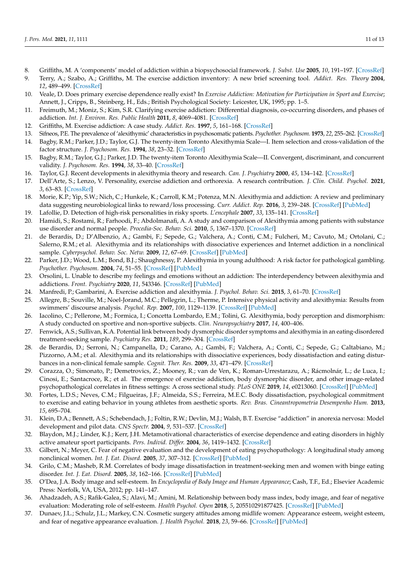- <span id="page-10-0"></span>8. Griffiths, M. A 'components' model of addiction within a biopsychosocial framework. *J. Subst. Use* **2005**, *10*, 191–197. [\[CrossRef\]](http://doi.org/10.1080/14659890500114359)
- <span id="page-10-1"></span>9. Terry, A.; Szabo, A.; Griffiths, M. The exercise addiction inventory: A new brief screening tool. *Addict. Res. Theory* **2004**, *12*, 489–499. [\[CrossRef\]](http://doi.org/10.1080/16066350310001637363)
- <span id="page-10-2"></span>10. Veale, D. Does primary exercise dependence really exist? In *Exercise Addiction: Motivation for Participation in Sport and Exercise*; Annett, J., Cripps, B., Steinberg, H., Eds.; British Psychological Society: Leicester, UK, 1995; pp. 1–5.
- <span id="page-10-3"></span>11. Freimuth, M.; Moniz, S.; Kim, S.R. Clarifying exercise addiction: Differential diagnosis, co-occurring disorders, and phases of addiction. *Int. J. Environ. Res. Public Health* **2011**, *8*, 4069–4081. [\[CrossRef\]](http://doi.org/10.3390/ijerph8104069)
- <span id="page-10-4"></span>12. Griffiths, M. Exercise addiction: A case study. *Addict. Res.* **1997**, *5*, 161–168. [\[CrossRef\]](http://doi.org/10.3109/16066359709005257)
- <span id="page-10-5"></span>13. Sifneos, P.E. The prevalence of 'alexithymic' characteristics in psychosomatic patients. *Psychother. Psychosom.* **1973**, *22*, 255–262. [\[CrossRef\]](http://doi.org/10.1159/000286529)
- <span id="page-10-6"></span>14. Bagby, R.M.; Parker, J.D.; Taylor, G.J. The twenty-item Toronto Alexithymia Scale—I. Item selection and cross-validation of the factor structure. *J. Psychosom. Res.* **1994**, *38*, 23–32. [\[CrossRef\]](http://doi.org/10.1016/0022-3999(94)90005-1)
- <span id="page-10-26"></span>15. Bagby, R.M.; Taylor, G.J.; Parker, J.D. The twenty-item Toronto Alexithymia Scale—II. Convergent, discriminant, and concurrent validity. *J. Psychosom. Res.* **1994**, *38*, 33–40. [\[CrossRef\]](http://doi.org/10.1016/0022-3999(94)90006-X)
- <span id="page-10-7"></span>16. Taylor, G.J. Recent developments in alexithymia theory and research. *Can. J. Psychiatry* **2000**, *45*, 134–142. [\[CrossRef\]](http://doi.org/10.1177/070674370004500203)
- <span id="page-10-8"></span>17. Dell'Arte, S.; Lenzo, V. Personality, exercise addiction and orthorexia. A research contribution. *J. Clin. Child. Psychol.* **2021**, *3*, 63–83. [\[CrossRef\]](http://doi.org/10.13129/2612-4033/0110-3050)
- <span id="page-10-27"></span>18. Morie, K.P.; Yip, S.W.; Nich, C.; Hunkele, K.; Carroll, K.M.; Potenza, M.N. Alexithymia and addiction: A review and preliminary data suggesting neurobiological links to reward/loss processing. *Curr. Addict. Rep.* **2016**, *3*, 239–248. [\[CrossRef\]](http://doi.org/10.1007/s40429-016-0097-8) [\[PubMed\]](http://www.ncbi.nlm.nih.gov/pubmed/27695665)
- <span id="page-10-9"></span>19. Lafollie, D. Detection of high-risk personalities in risky sports. *L'encephale* **2007**, *33*, 135–141. [\[CrossRef\]](http://doi.org/10.1016/S0013-7006(07)91543-2)
- <span id="page-10-10"></span>20. Hamidi, S.; Rostami, R.; Farhoodi, F.; Abdolmanafi, A. A study and comparison of Alexithymia among patients with substance use disorder and normal people. *Procedia-Soc. Behav. Sci.* **2010**, *5*, 1367–1370. [\[CrossRef\]](http://doi.org/10.1016/j.sbspro.2010.07.289)
- <span id="page-10-11"></span>21. de Berardis, D.; D'Albenzio, A.; Gambi, F.; Sepede, G.; Valchera, A.; Conti, C.M.; Fulcheri, M.; Cavuto, M.; Ortolani, C.; Salerno, R.M.; et al. Alexithymia and its relationships with dissociative experiences and Internet addiction in a nonclinical sample. *Cyberpsychol. Behav. Soc. Netw.* **2009**, *12*, 67–69. [\[CrossRef\]](http://doi.org/10.1089/cpb.2008.0108) [\[PubMed\]](http://www.ncbi.nlm.nih.gov/pubmed/19132914)
- 22. Parker, J.D.; Wood, L.M.; Bond, B.J.; Shaughnessy, P. Alexithymia in young adulthood: A risk factor for pathological gambling. *Psychother. Psychosom.* **2004**, *74*, 51–55. [\[CrossRef\]](http://doi.org/10.1159/000082027) [\[PubMed\]](http://www.ncbi.nlm.nih.gov/pubmed/15627857)
- <span id="page-10-12"></span>23. Orsolini, L. Unable to describe my feelings and emotions without an addiction: The interdependency between alexithymia and addictions. *Front. Psychiatry* **2020**, *11*, 543346. [\[CrossRef\]](http://doi.org/10.3389/fpsyt.2020.543346) [\[PubMed\]](http://www.ncbi.nlm.nih.gov/pubmed/33192657)
- <span id="page-10-13"></span>24. Manfredi, P.; Gambarini, A. Exercise addiction and alexithymia. *J. Psychol. Behav. Sci.* **2015**, *3*, 61–70. [\[CrossRef\]](http://doi.org/10.15640/jpbs.v3n1a7)
- <span id="page-10-14"></span>25. Allegre, B.; Souville, M.; Noel-Jorand, M.C.; Pellegrin, L.; Therme, P. Intensive physical activity and alexithymia: Results from swimmers' discourse analysis. *Psychol. Rep.* **2007**, *100*, 1129–1139. [\[CrossRef\]](http://doi.org/10.2466/pr0.100.4.1129-1139) [\[PubMed\]](http://www.ncbi.nlm.nih.gov/pubmed/17886500)
- <span id="page-10-15"></span>26. Iacolino, C.; Pellerone, M.; Formica, I.; Concetta Lombardo, E.M.; Tolini, G. Alexithymia, body perception and dismorphism: A study conducted on sportive and non-sportive subjects. *Clin. Neuropsychiatry* **2017**, *14*, 400–406.
- <span id="page-10-16"></span>27. Fenwick, A.S.; Sullivan, K.A. Potential link between body dysmorphic disorder symptoms and alexithymia in an eating-disordered treatment-seeking sample. *Psychiatry Res.* **2011**, *189*, 299–304. [\[CrossRef\]](http://doi.org/10.1016/j.psychres.2011.07.011)
- <span id="page-10-17"></span>28. de Berardis, D.; Serroni, N.; Campanella, D.; Carano, A.; Gambi, F.; Valchera, A.; Conti, C.; Sepede, G.; Caltabiano, M.; Pizzorno, A.M.; et al. Alexithymia and its relationships with dissociative experiences, body dissatisfaction and eating disturbances in a non-clinical female sample. *Cognit. Ther. Res.* **2009**, *33*, 471–479. [\[CrossRef\]](http://doi.org/10.1007/s10608-009-9247-9)
- <span id="page-10-18"></span>29. Corazza, O.; Simonato, P.; Demetrovics, Z.; Mooney, R.; van de Ven, K.; Roman-Urrestarazu, A.; Rácmolnár, L.; de Luca, I.; Cinosi, E.; Santacroce, R.; et al. The emergence of exercise addiction, body dysmorphic disorder, and other image-related psychopathological correlates in fitness settings: A cross sectional study. *PLoS ONE* **2019**, *14*, e0213060. [\[CrossRef\]](http://doi.org/10.1371/journal.pone.0213060) [\[PubMed\]](http://www.ncbi.nlm.nih.gov/pubmed/30943200)
- <span id="page-10-19"></span>30. Fortes, L.D.S.; Neves, C.M.; Filgueiras, J.F.; Almeida, S.S.; Ferreira, M.E.C. Body dissatisfaction, psychological commitment to exercise and eating behavior in young athletes from aesthetic sports. *Rev. Bras. Cineantropometria Desempenho Hum.* **2013**, *15*, 695–704.
- <span id="page-10-20"></span>31. Klein, D.A.; Bennett, A.S.; Schebendach, J.; Foltin, R.W.; Devlin, M.J.; Walsh, B.T. Exercise "addiction" in anorexia nervosa: Model development and pilot data. *CNS Spectr.* **2004**, *9*, 531–537. [\[CrossRef\]](http://doi.org/10.1017/S1092852900009627)
- <span id="page-10-21"></span>32. Blaydon, M.J.; Linder, K.J.; Kerr, J.H. Metamotivational characteristics of exercise dependence and eating disorders in highly active amateur sport participants. *Pers. Individ. Differ.* **2004**, *36*, 1419–1432. [\[CrossRef\]](http://doi.org/10.1016/S0191-8869(03)00238-1)
- <span id="page-10-22"></span>33. Gilbert, N.; Meyer, C. Fear of negative evaluation and the development of eating psychopathology: A longitudinal study among nonclinical women. *Int. J. Eat. Disord.* **2005**, *37*, 307–312. [\[CrossRef\]](http://doi.org/10.1002/eat.20105) [\[PubMed\]](http://www.ncbi.nlm.nih.gov/pubmed/15856504)
- <span id="page-10-23"></span>34. Grilo, C.M.; Masheb, R.M. Correlates of body image dissatisfaction in treatment-seeking men and women with binge eating disorder. *Int. J. Eat. Disord.* **2005**, *38*, 162–166. [\[CrossRef\]](http://doi.org/10.1002/eat.20162) [\[PubMed\]](http://www.ncbi.nlm.nih.gov/pubmed/16134112)
- <span id="page-10-24"></span>35. O'Dea, J.A. Body image and self-esteem. In *Encyclopedia of Body Image and Human Appearance*; Cash, T.F., Ed.; Elsevier Academic Press: Norfolk, VA, USA, 2012; pp. 141–147.
- <span id="page-10-25"></span>36. Ahadzadeh, A.S.; Rafik-Galea, S.; Alavi, M.; Amini, M. Relationship between body mass index, body image, and fear of negative evaluation: Moderating role of self-esteem. *Health Psychol. Open* **2018**, *5*, 205510291877425. [\[CrossRef\]](http://doi.org/10.1177/2055102918774251) [\[PubMed\]](http://www.ncbi.nlm.nih.gov/pubmed/29977587)
- 37. Dunaev, J.L.; Schulz, J.L.; Markey, C.N. Cosmetic surgery attitudes among midlife women: Appearance esteem, weight esteem, and fear of negative appearance evaluation. *J. Health Psychol.* **2018**, *23*, 59–66. [\[CrossRef\]](http://doi.org/10.1177/1359105316642249) [\[PubMed\]](http://www.ncbi.nlm.nih.gov/pubmed/27114214)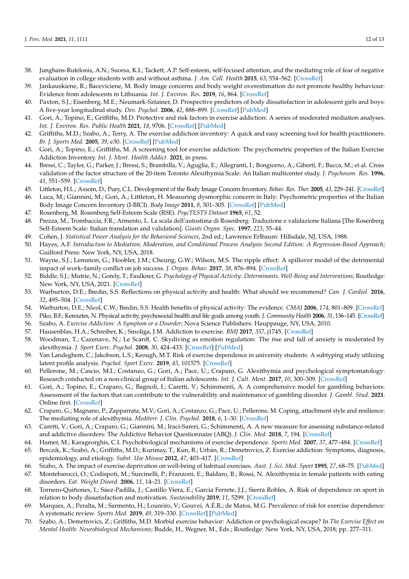- <span id="page-11-0"></span>38. Junghans-Rutelonis, A.N.; Suorsa, K.I.; Tackett, A.P. Self-esteem, self-focused attention, and the mediating role of fear of negative evaluation in college students with and without asthma. *J. Am. Coll. Health* **2015**, *63*, 554–562. [\[CrossRef\]](http://doi.org/10.1080/07448481.2015.1057146)
- <span id="page-11-1"></span>39. Jankauskiene, R.; Baceviciene, M. Body image concerns and body weight overestimation do not promote healthy behaviour: Evidence from adolescents in Lithuania. *Int. J. Environ. Res.* **2019**, *16*, 864. [\[CrossRef\]](http://doi.org/10.3390/ijerph16050864)
- <span id="page-11-2"></span>40. Paxton, S.J.; Eisenberg, M.E.; Neumark-Sztainer, D. Prospective predictors of body dissatisfaction in adolescent girls and boys: A five-year longitudinal study. *Dev. Psychol.* **2006**, *42*, 888–899. [\[CrossRef\]](http://doi.org/10.1037/0012-1649.42.5.888) [\[PubMed\]](http://www.ncbi.nlm.nih.gov/pubmed/16953694)
- <span id="page-11-3"></span>41. Gori, A.; Topino, E.; Griffiths, M.D. Protective and risk factors in exercise addiction: A series of moderated mediation analyses. *Int. J. Environ. Res. Public Health* **2021**, *18*, 9706. [\[CrossRef\]](http://doi.org/10.3390/ijerph18189706) [\[PubMed\]](http://www.ncbi.nlm.nih.gov/pubmed/34574631)
- <span id="page-11-4"></span>42. Griffiths, M.D.; Szabo, A.; Terry, A. The exercise addiction inventory: A quick and easy screening tool for health practitioners. *Br. J. Sports Med.* **2005**, *39*, e30. [\[CrossRef\]](http://doi.org/10.1136/bjsm.2004.017020) [\[PubMed\]](http://www.ncbi.nlm.nih.gov/pubmed/15911594)
- <span id="page-11-5"></span>43. Gori, A.; Topino, E.; Griffiths, M. A screening tool for exercise addiction: The psychometric properties of the Italian Exercise Addiction Inventory. *Int. J. Ment. Health Addict.* **2021**, in press.
- <span id="page-11-6"></span>44. Bressi, C.; Taylor, G.; Parker, J.; Bressi, S.; Brambilla, V.; Aguglia, E.; Allegranti, I.; Bongiorno, A.; Giberti, F.; Bucca, M.; et al. Cross validation of the factor structure of the 20-item Toronto Alexithymia Scale: An Italian multicenter study. *J. Psychosom. Res.* **1996**, *41*, 551–559. [\[CrossRef\]](http://doi.org/10.1016/S0022-3999(96)00228-0)
- <span id="page-11-7"></span>45. Littleton, H.L.; Axsom, D.; Pury, C.L. Development of the Body Image Concern Inventory. *Behav. Res. Ther.* **2005**, *43*, 229–241. [\[CrossRef\]](http://doi.org/10.1016/j.brat.2003.12.006)
- <span id="page-11-8"></span>46. Luca, M.; Giannini, M.; Gori, A.; Littleton, H. Measuring dysmorphic concern in Italy: Psychometric properties of the Italian Body Image Concern Inventory (I-BICI). *Body Image* **2011**, *8*, 301–305. [\[CrossRef\]](http://doi.org/10.1016/j.bodyim.2011.04.007) [\[PubMed\]](http://www.ncbi.nlm.nih.gov/pubmed/21664200)
- <span id="page-11-9"></span>47. Rosenberg, M. Rosenberg Self-Esteem Scale (RSE). *PsycTESTS Dataset* **1965**, *61*, 52.
- <span id="page-11-10"></span>48. Prezza, M.; Trombaccia, F.R.; Armento, L. La scala dell'autostima di Rosenberg: Traduzione e validazione Italiana [The Rosenberg Self-Esteem Scale: Italian translation and validation]. *Giunti Organ. Spec.* **1997**, *223*, 35–44.
- <span id="page-11-11"></span>49. Cohen, J. *Statistical Power Analysis for the Behavioral Sciences*, 2nd ed.; Lawrence Erlbaum: Hillsdale, NJ, USA, 1988.
- <span id="page-11-12"></span>50. Hayes, A.F. *Introduction to Mediation, Moderation, and Conditional Process Analysis Second Edition: A Regression-Based Approach*; Guilford Press: New York, NY, USA, 2018.
- <span id="page-11-13"></span>51. Wayne, S.J.; Lemmon, G.; Hoobler, J.M.; Cheung, G.W.; Wilson, M.S. The ripple effect: A spillover model of the detrimental impact of work–family conflict on job success. *J. Organ. Behav.* **2017**, *38*, 876–894. [\[CrossRef\]](http://doi.org/10.1002/job.2174)
- <span id="page-11-14"></span>52. Biddle, S.J.; Mutrie, N.; Gorely, T.; Faulkner, G. *Psychology of Physical Activity: Determinants, Well-Being and Interventions*; Routledge: New York, NY, USA, 2021. [\[CrossRef\]](http://doi.org/10.4324/9781003127420)
- 53. Warburton, D.E.; Bredin, S.S. Reflections on physical activity and health: What should we recommend? *Can. J. Cardiol.* **2016**, *32*, 495–504. [\[CrossRef\]](http://doi.org/10.1016/j.cjca.2016.01.024)
- <span id="page-11-15"></span>54. Warburton, D.E.; Nicol, C.W.; Bredin, S.S. Health benefits of physical activity: The evidence. *CMAJ* **2006**, *174*, 801–809. [\[CrossRef\]](http://doi.org/10.1503/cmaj.051351)
- <span id="page-11-16"></span>55. Piko, B.F.; Keresztes, N. Physical activity, psychosocial health and life goals among youth. *J. Community Health* **2006**, *31*, 136–145. [\[CrossRef\]](http://doi.org/10.1007/s10900-005-9004-2)
- <span id="page-11-17"></span>56. Szabo, A. *Exercise Addiction: A Symptom or a Disorder*; Nova Science Publishers: Hauppauge, NY, USA, 2010.
- <span id="page-11-18"></span>57. Hausenblas, H.A.; Schreiber, K.; Smoliga, J.M. Addiction to exercise. *BMJ* **2017**, *357*, j1745. [\[CrossRef\]](http://doi.org/10.1136/bmj.j1745)
- <span id="page-11-19"></span>58. Woodman, T.; Cazenave, N.; Le Scanff, C. Skydiving as emotion regulation: The rise and fall of anxiety is moderated by alexithymia. *J. Sport Exerc. Psychol.* **2008**, *30*, 424–433. [\[CrossRef\]](http://doi.org/10.1123/jsep.30.3.424) [\[PubMed\]](http://www.ncbi.nlm.nih.gov/pubmed/18648114)
- <span id="page-11-20"></span>59. Van Landeghem, C.; Jakobson, L.S.; Keough, M.T. Risk of exercise dependence in university students: A subtyping study utilizing latent profile analysis. *Psychol. Sport Exerc.* **2019**, *45*, 101575. [\[CrossRef\]](http://doi.org/10.1016/j.psychsport.2019.101575)
- <span id="page-11-21"></span>60. Pellerone, M.; Cascio, M.I.; Costanzo, G.; Gori, A.; Pace, U.; Craparo, G. Alexithymia and psychological symptomatology: Research conducted on a non-clinical group of Italian adolescents. *Int. J. Cult. Ment.* **2017**, *10*, 300–309. [\[CrossRef\]](http://doi.org/10.1080/17542863.2017.1307434)
- <span id="page-11-22"></span>61. Gori, A.; Topino, E.; Craparo, G.; Bagnoli, I.; Caretti, V.; Schimmenti, A. A comprehensive model for gambling behaviors: Assessment of the factors that can contribute to the vulnerability and maintenance of gambling disorder. *J. Gambl. Stud.* **2021**. Online first. [\[CrossRef\]](http://doi.org/10.1007/s10899-021-10024-3)
- <span id="page-11-23"></span>62. Craparo, G.; Magnano, P.; Zapparrata, M.V.; Gori, A.; Costanzo, G.; Pace, U.; Pellerone, M. Coping, attachment style and resilience: The mediating role of alexithymia. *Mediterr. J. Clin. Psychol.* **2018**, *6*, 1–30. [\[CrossRef\]](http://doi.org/10.6092/2282-1619/2018.6.1773)
- <span id="page-11-24"></span>63. Caretti, V.; Gori, A.; Craparo, G.; Giannini, M.; Iraci-Sareri, G.; Schimmenti, A. A new measure for assessing substance-related and addictive disorders: The Addictive Behavior Questionnaire (ABQ). *J. Clin. Med.* **2018**, *7*, 194. [\[CrossRef\]](http://doi.org/10.3390/jcm7080194)
- <span id="page-11-25"></span>64. Hamer, M.; Karageorghis, C.I. Psychobiological mechanisms of exercise dependence. *Sports Med.* **2007**, *37*, 477–484. [\[CrossRef\]](http://doi.org/10.2165/00007256-200737060-00002)
- <span id="page-11-31"></span>65. Berczik, K.; Szabó, A.; Griffiths, M.D.; Kurimay, T.; Kun, B.; Urbán, R.; Demetrovics, Z. Exercise addiction: Symptoms, diagnosis, epidemiology, and etiology. *Subst. Use Misuse* **2012**, *47*, 403–417. [\[CrossRef\]](http://doi.org/10.3109/10826084.2011.639120)
- <span id="page-11-26"></span>66. Szabo, A. The impact of exercise deprivation on well-being of habitual exercises. *Aust. J. Sci. Med. Sport* **1995**, *27*, 68–75. [\[PubMed\]](http://www.ncbi.nlm.nih.gov/pubmed/8599747)
- <span id="page-11-27"></span>67. Montebarocci, O.; Codispoti, M.; Surcinelli, P.; Franzoni, E.; Baldaro, B.; Rossi, N. Alexithymia in female patients with eating disorders. *Eat. Weight Disord.* **2006**, *11*, 14–21. [\[CrossRef\]](http://doi.org/10.1007/BF03327739)
- <span id="page-11-28"></span>68. Tornero-Quiñones, I.; Sáez-Padilla, J.; Castillo Viera, E.; Garcia Ferrete, J.J.; Sierra Robles, A. Risk of dependence on sport in relation to body dissatisfaction and motivation. *Sustainability* **2019**, *11*, 5299. [\[CrossRef\]](http://doi.org/10.3390/su11195299)
- <span id="page-11-29"></span>69. Marques, A.; Peralta, M.; Sarmento, H.; Loureiro, V.; Gouvei, A.É.R.; de Matos, M.G. Prevalence of risk for exercise dependence: A systematic review. *Sports Med.* **2019**, *49*, 319–330. [\[CrossRef\]](http://doi.org/10.1007/s40279-018-1011-4) [\[PubMed\]](http://www.ncbi.nlm.nih.gov/pubmed/30374944)
- <span id="page-11-30"></span>70. Szabo, A.; Demetrovics, Z.; Griffiths, M.D. Morbid exercise behavior: Addiction or psychological escape? In *The Exercise Effect on Mental Health: Neurobiological Mechanisms*; Budde, H., Wegner, M., Eds.; Routledge: New York, NY, USA, 2018; pp. 277–311.